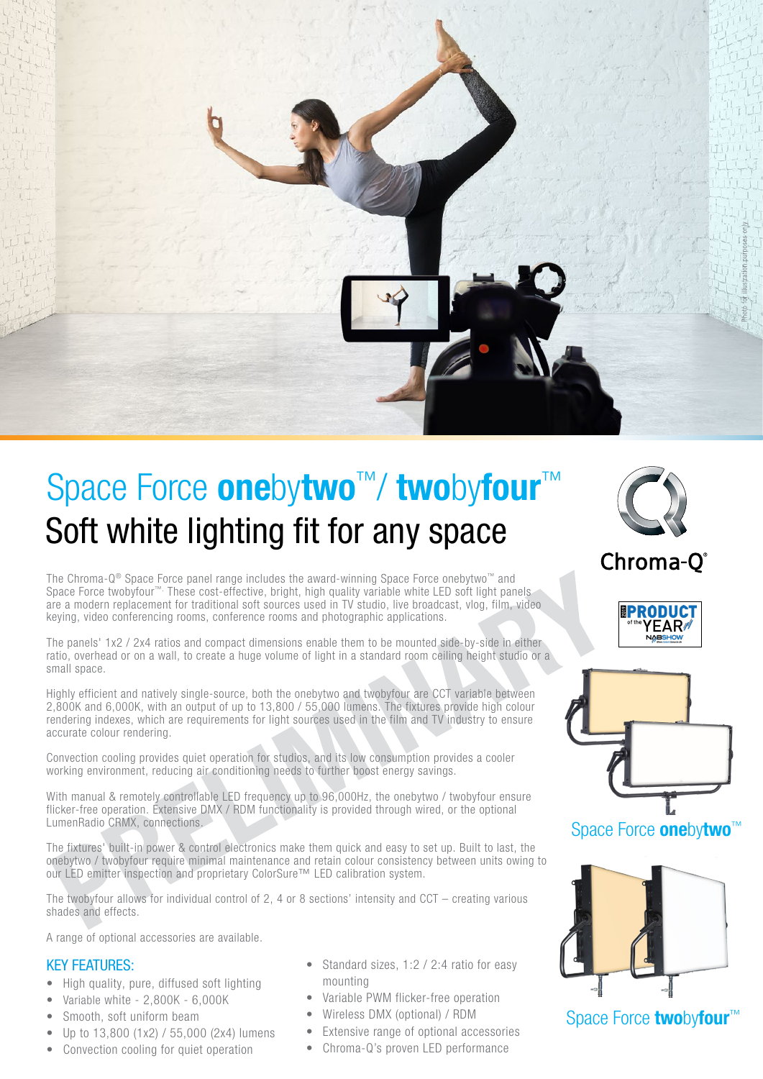

# Soft white lighting fit for any space Space Force **onebytwo™/ twobyfour™**

The Chroma-Q® Space Force panel range includes the award-winning Space Force onebytwo™ and Space Force twobyfour™. These cost-effective, bright, high quality variable white LED soft light panels are a modern replacement for traditional soft sources used in TV studio, live broadcast, vlog, film, video keying, video conferencing rooms, conference rooms and photographic applications.

The panels' 1x2 / 2x4 ratios and compact dimensions enable them to be mounted side-by-side in either ratio, overhead or on a wall, to create a huge volume of light in a standard room ceiling height studio or a small space.

Highly efficient and natively single-source, both the onebytwo and twobyfour are CCT variable between 2,800K and 6,000K, with an output of up to 13,800 / 55,000 lumens. The fixtures provide high colour rendering indexes, which are requirements for light sources used in the film and TV industry to ensure accurate colour rendering.

Convection cooling provides quiet operation for studios, and its low consumption provides a cooler working environment, reducing air conditioning needs to further boost energy savings.

With manual & remotely controllable LED frequency up to 96,000Hz, the onebytwo / twobyfour ensure flicker-free operation. Extensive DMX / RDM functionality is provided through wired, or the optional LumenRadio CRMX, connections.

The fixtures' built-in power & control electronics make them quick and easy to set up. Built to last, the onebytwo / twobyfour require minimal maintenance and retain colour consistency between units owing to our LED emitter inspection and proprietary ColorSure™ LED calibration system.

The twobyfour allows for individual control of 2, 4 or 8 sections' intensity and CCT – creating various shades and effects.

A range of optional accessories are available.

## KEY FEATURES:

- High quality, pure, diffused soft lighting
- Variable white 2,800K 6,000K
- Smooth, soft uniform beam
- Up to 13,800 (1x2) / 55,000 (2x4) lumens
- Convection cooling for quiet operation
- Standard sizes, 1:2 / 2:4 ratio for easy mounting
- Variable PWM flicker-free operation
- Wireless DMX (optional) / RDM
- Extensive range of optional accessories
	- Chroma-Q's proven LED performance



Chroma-O®





Space Force **onebytwo**<sup>™</sup>



Space Force twobyfour<sup>™</sup>